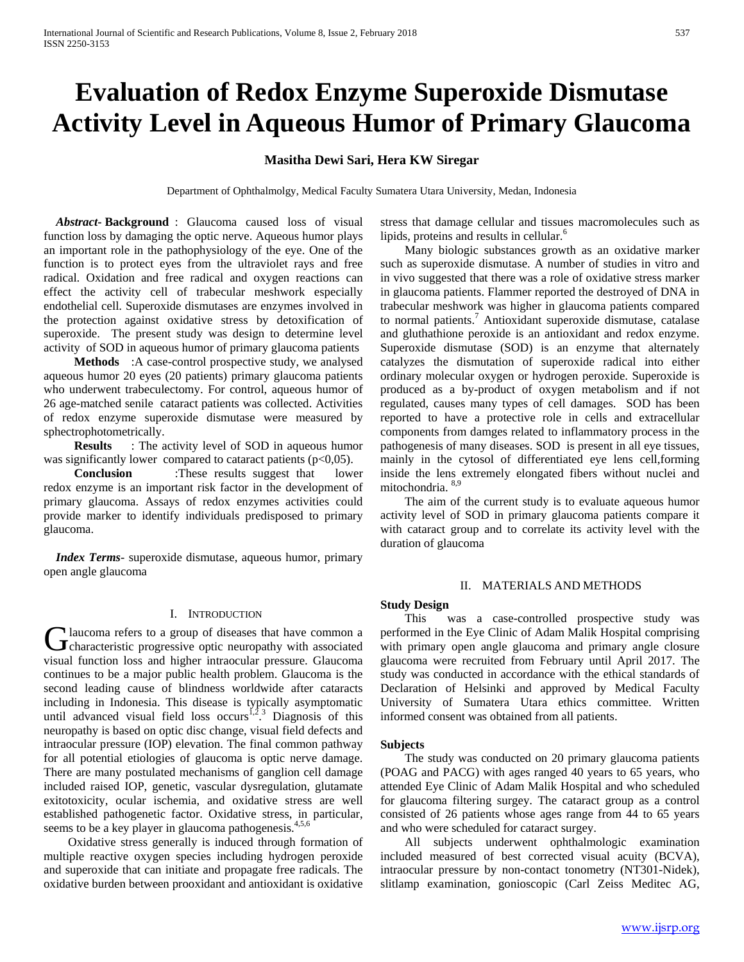# **Evaluation of Redox Enzyme Superoxide Dismutase Activity Level in Aqueous Humor of Primary Glaucoma**

# **Masitha Dewi Sari, Hera KW Siregar**

Department of Ophthalmolgy, Medical Faculty Sumatera Utara University, Medan, Indonesia

 *Abstract***- Background** : Glaucoma caused loss of visual function loss by damaging the optic nerve. Aqueous humor plays an important role in the pathophysiology of the eye. One of the function is to protect eyes from the ultraviolet rays and free radical. Oxidation and free radical and oxygen reactions can effect the activity cell of trabecular meshwork especially endothelial cell. Superoxide dismutases are enzymes involved in the protection against oxidative stress by detoxification of superoxide. The present study was design to determine level activity of SOD in aqueous humor of primary glaucoma patients

 **Methods** :A case-control prospective study, we analysed aqueous humor 20 eyes (20 patients) primary glaucoma patients who underwent trabeculectomy. For control, aqueous humor of 26 age-matched senile cataract patients was collected. Activities of redox enzyme superoxide dismutase were measured by sphectrophotometrically.

**Results** : The activity level of SOD in aqueous humor was significantly lower compared to cataract patients  $(p<0,05)$ .

 **Conclusion** :These results suggest that lower redox enzyme is an important risk factor in the development of primary glaucoma. Assays of redox enzymes activities could provide marker to identify individuals predisposed to primary glaucoma.

 *Index Terms*- superoxide dismutase, aqueous humor, primary open angle glaucoma

# I. INTRODUCTION

laucoma refers to a group of diseases that have common a Glaucoma refers to a group of diseases that have common a characteristic progressive optic neuropathy with associated visual function loss and higher intraocular pressure. Glaucoma continues to be a major public health problem. Glaucoma is the second leading cause of blindness worldwide after cataracts including in Indonesia. This disease is typically asymptomatic until advanced visual field loss occurs<sup>1,2</sup>.<sup>3</sup> Diagnosis of this neuropathy is based on optic disc change, visual field defects and intraocular pressure (IOP) elevation. The final common pathway for all potential etiologies of glaucoma is optic nerve damage. There are many postulated mechanisms of ganglion cell damage included raised IOP, genetic, vascular dysregulation, glutamate exitotoxicity, ocular ischemia, and oxidative stress are well established pathogenetic factor. Oxidative stress, in particular, seems to be a key player in glaucoma pathogenesis.<sup>4,5,6</sup>

 Oxidative stress generally is induced through formation of multiple reactive oxygen species including hydrogen peroxide and superoxide that can initiate and propagate free radicals. The oxidative burden between prooxidant and antioxidant is oxidative stress that damage cellular and tissues macromolecules such as lipids, proteins and results in cellular.<sup>6</sup>

 Many biologic substances growth as an oxidative marker such as superoxide dismutase. A number of studies in vitro and in vivo suggested that there was a role of oxidative stress marker in glaucoma patients. Flammer reported the destroyed of DNA in trabecular meshwork was higher in glaucoma patients compared to normal patients.<sup>7</sup> Antioxidant superoxide dismutase, catalase and gluthathione peroxide is an antioxidant and redox enzyme. Superoxide dismutase (SOD) is an enzyme that alternately catalyzes the dismutation of superoxide radical into either ordinary molecular oxygen or hydrogen peroxide. Superoxide is produced as a by-product of oxygen metabolism and if not regulated, causes many types of cell damages. SOD has been reported to have a protective role in cells and extracellular components from damges related to inflammatory process in the pathogenesis of many diseases. SOD is present in all eye tissues, mainly in the cytosol of differentiated eye lens cell,forming inside the lens extremely elongated fibers without nuclei and mitochondria. 8,9

 The aim of the current study is to evaluate aqueous humor activity level of SOD in primary glaucoma patients compare it with cataract group and to correlate its activity level with the duration of glaucoma

#### II. MATERIALS AND METHODS

#### **Study Design**

 This was a case-controlled prospective study was performed in the Eye Clinic of Adam Malik Hospital comprising with primary open angle glaucoma and primary angle closure glaucoma were recruited from February until April 2017. The study was conducted in accordance with the ethical standards of Declaration of Helsinki and approved by Medical Faculty University of Sumatera Utara ethics committee. Written informed consent was obtained from all patients.

# **Subjects**

 The study was conducted on 20 primary glaucoma patients (POAG and PACG) with ages ranged 40 years to 65 years, who attended Eye Clinic of Adam Malik Hospital and who scheduled for glaucoma filtering surgey. The cataract group as a control consisted of 26 patients whose ages range from 44 to 65 years and who were scheduled for cataract surgey.

 All subjects underwent ophthalmologic examination included measured of best corrected visual acuity (BCVA), intraocular pressure by non-contact tonometry (NT301-Nidek), slitlamp examination, gonioscopic (Carl Zeiss Meditec AG,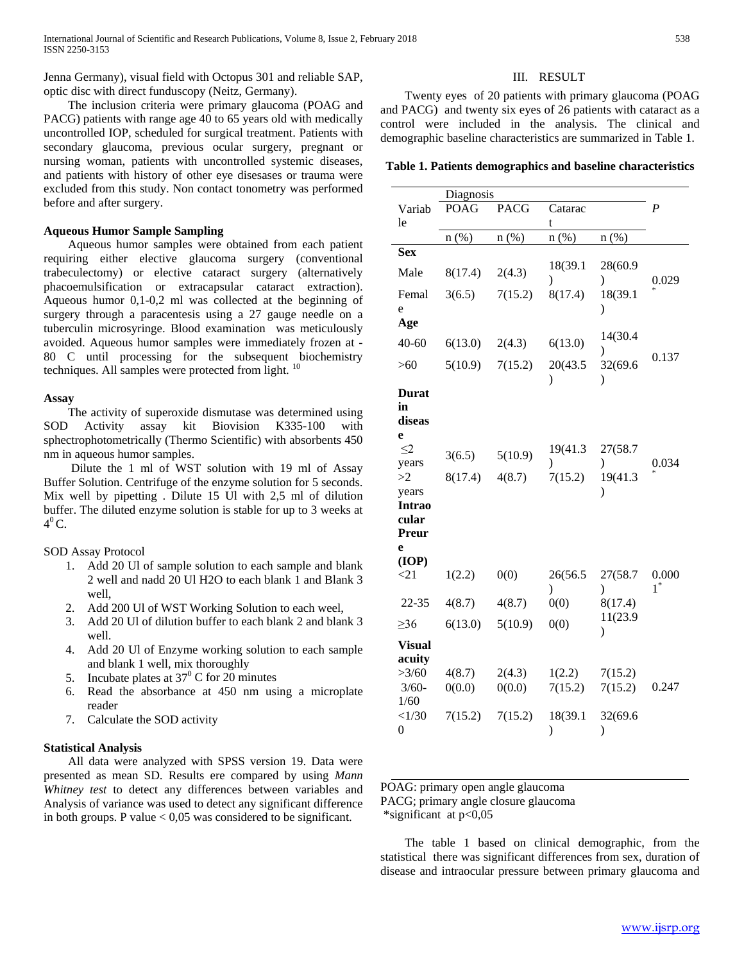Jenna Germany), visual field with Octopus 301 and reliable SAP, optic disc with direct funduscopy (Neitz, Germany).

# The inclusion criteria were primary glaucoma (POAG and PACG) patients with range age 40 to 65 years old with medically uncontrolled IOP, scheduled for surgical treatment. Patients with secondary glaucoma, previous ocular surgery, pregnant or nursing woman, patients with uncontrolled systemic diseases, and patients with history of other eye disesases or trauma were excluded from this study. Non contact tonometry was performed before and after surgery.

## **Aqueous Humor Sample Sampling**

 Aqueous humor samples were obtained from each patient requiring either elective glaucoma surgery (conventional trabeculectomy) or elective cataract surgery (alternatively phacoemulsification or extracapsular cataract extraction). Aqueous humor 0,1-0,2 ml was collected at the beginning of surgery through a paracentesis using a 27 gauge needle on a tuberculin microsyringe. Blood examination was meticulously avoided. Aqueous humor samples were immediately frozen at - 80 C until processing for the subsequent biochemistry techniques. All samples were protected from light.  $10$ 

## **Assay**

 The activity of superoxide dismutase was determined using SOD Activity assay kit Biovision K335-100 with sphectrophotometrically (Thermo Scientific) with absorbents 450 nm in aqueous humor samples.

 Dilute the 1 ml of WST solution with 19 ml of Assay Buffer Solution. Centrifuge of the enzyme solution for 5 seconds. Mix well by pipetting . Dilute 15 Ul with 2,5 ml of dilution buffer. The diluted enzyme solution is stable for up to 3 weeks at  $4^{\circ}$ C.

### SOD Assay Protocol

- 1. Add 20 Ul of sample solution to each sample and blank 2 well and nadd 20 Ul H2O to each blank 1 and Blank 3 well,
- 2. Add 200 Ul of WST Working Solution to each weel,
- 3. Add 20 Ul of dilution buffer to each blank 2 and blank 3 well.
- 4. Add 20 Ul of Enzyme working solution to each sample and blank 1 well, mix thoroughly
- 5. Incubate plates at  $37^{\circ}$  C for 20 minutes
- 6. Read the absorbance at 450 nm using a microplate reader
- 7. Calculate the SOD activity

# **Statistical Analysis**

 All data were analyzed with SPSS version 19. Data were presented as mean SD. Results ere compared by using *Mann Whitney test* to detect any differences between variables and Analysis of variance was used to detect any significant difference in both groups. P value  $< 0.05$  was considered to be significant.

## III. RESULT

 Twenty eyes of 20 patients with primary glaucoma (POAG and PACG) and twenty six eyes of 26 patients with cataract as a control were included in the analysis. The clinical and demographic baseline characteristics are summarized in Table 1.

**Table 1. Patients demographics and baseline characteristics**

|               | Diagnosis   |             |               |               |       |  |  |
|---------------|-------------|-------------|---------------|---------------|-------|--|--|
| Variab        | <b>POAG</b> | <b>PACG</b> | Catarac       |               | P     |  |  |
| le            |             |             |               |               |       |  |  |
|               | $n(\%)$     | $n$ (%)     | $n$ (%)       | $n(\%)$       |       |  |  |
| <b>Sex</b>    |             |             |               |               |       |  |  |
|               |             |             | 18(39.1       | 28(60.9       |       |  |  |
| Male          | 8(17.4)     | 2(4.3)      | ⟩             | ⟩             | 0.029 |  |  |
| Femal         | 3(6.5)      | 7(15.2)     | 8(17.4)       | 18(39.1       |       |  |  |
| e             |             |             |               | $\mathcal{E}$ |       |  |  |
| Age           |             |             |               |               |       |  |  |
|               |             |             |               | 14(30.4       |       |  |  |
| $40 - 60$     | 6(13.0)     | 2(4.3)      | 6(13.0)       | ⟩             |       |  |  |
| $>60$         | 5(10.9)     | 7(15.2)     | 20(43.5       | 32(69.6       | 0.137 |  |  |
|               |             |             | ⟩             | $\mathcal{E}$ |       |  |  |
| Durat         |             |             |               |               |       |  |  |
| in            |             |             |               |               |       |  |  |
| diseas        |             |             |               |               |       |  |  |
| e             |             |             |               |               |       |  |  |
| $\leq$ 2      |             |             | 19(41.3       | 27(58.7       |       |  |  |
| years         | 3(6.5)      | 5(10.9)     | $\mathcal{E}$ | $\mathcal{E}$ | 0.034 |  |  |
| >2            | 8(17.4)     | 4(8.7)      | 7(15.2)       | 19(41.3       |       |  |  |
| years         |             |             |               | $\mathcal{)}$ |       |  |  |
| <b>Intrao</b> |             |             |               |               |       |  |  |
| cular         |             |             |               |               |       |  |  |
| Preur         |             |             |               |               |       |  |  |
| e             |             |             |               |               |       |  |  |
| (IOP)         |             |             |               |               |       |  |  |
| <21           | 1(2.2)      | 0(0)        | 26(56.5       | 27(58.7       | 0.000 |  |  |
|               |             |             | $\mathcal{E}$ | $\mathcal{E}$ | $1^*$ |  |  |
| 22-35         | 4(8.7)      | 4(8.7)      | 0(0)          | 8(17.4)       |       |  |  |
|               |             |             |               | 11(23.9       |       |  |  |
| $\geq$ 36     | 6(13.0)     | 5(10.9)     | 0(0)          | $\mathcal{E}$ |       |  |  |
| <b>Visual</b> |             |             |               |               |       |  |  |
| acuity        |             |             |               |               |       |  |  |
| >3/60         | 4(8.7)      | 2(4.3)      | 1(2.2)        | 7(15.2)       |       |  |  |
| $3/60-$       | 0(0.0)      | 0(0.0)      | 7(15.2)       | 7(15.2)       | 0.247 |  |  |
| 1/60          |             |             |               |               |       |  |  |
| <1/30         | 7(15.2)     | 7(15.2)     | 18(39.1       | 32(69.6       |       |  |  |
| 0             |             |             | ⟩             | $\mathcal{E}$ |       |  |  |
|               |             |             |               |               |       |  |  |

POAG: primary open angle glaucoma

PACG; primary angle closure glaucoma

\*significant at p<0,05

 The table 1 based on clinical demographic, from the statistical there was significant differences from sex, duration of disease and intraocular pressure between primary glaucoma and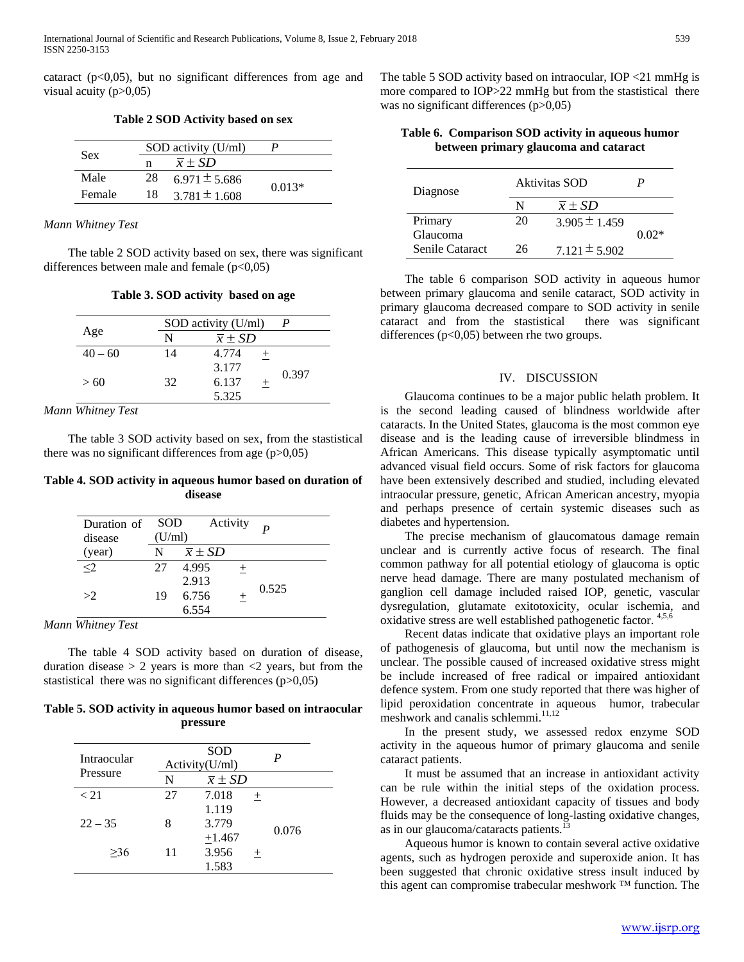cataract  $(p<0.05)$ , but no significant differences from age and visual acuity  $(p>0.05)$ 

**Table 2 SOD Activity based on sex**

|            |    | SOD activity (U/ml) |          |
|------------|----|---------------------|----------|
| <b>Sex</b> | n  | $\overline{x}$ + SD |          |
| Male       | 28 | $6.971 \pm 5.686$   |          |
| Female     | 18 | $3.781 \pm 1.608$   | $0.013*$ |

*Mann Whitney Test*

 The table 2 SOD activity based on sex, there was significant differences between male and female  $(p<0,05)$ 

**Table 3. SOD activity based on age**

|           |    | SOD activity (U/ml)   |      |       |
|-----------|----|-----------------------|------|-------|
| Age       | N  | $\overline{x} \pm SD$ |      |       |
| $40 - 60$ | 14 | 4.774                 |      |       |
|           |    | 3.177                 |      | 0.397 |
| >60       | 32 | 6.137                 | $^+$ |       |
|           |    | 5.325                 |      |       |

*Mann Whitney Test*

 The table 3 SOD activity based on sex, from the stastistical there was no significant differences from age  $(p>0,05)$ 

**Table 4. SOD activity in aqueous humor based on duration of disease**

| Duration of<br>disease | <b>SOD</b><br>(U/ml) |                       | Activity |       |
|------------------------|----------------------|-----------------------|----------|-------|
| (year)                 | N                    | $\overline{x} \pm SD$ |          |       |
| $\leq$ 2               | 27                   | 4.995                 | $^{+}$   |       |
|                        |                      | 2.913                 |          | 0.525 |
| >2                     | 19                   | 6.756                 | $^{+}$   |       |
|                        |                      | 6.554                 |          |       |

*Mann Whitney Test*

 The table 4 SOD activity based on duration of disease, duration disease  $> 2$  years is more than  $\langle 2 \rangle$  years, but from the stastistical there was no significant differences  $(p>0,05)$ 

**Table 5. SOD activity in aqueous humor based on intraocular pressure**

| Intraocular | <b>SOD</b><br>Activity(U/ml) |                       |      | P     |
|-------------|------------------------------|-----------------------|------|-------|
| Pressure    | N                            | $\overline{x} \pm SD$ |      |       |
| < 21        | 27                           | 7.018                 | $^+$ |       |
|             |                              | 1.119                 |      |       |
| $22 - 35$   | 8                            | 3.779                 |      | 0.076 |
|             |                              | $+1.467$              |      |       |
| >36         | 11                           | 3.956                 | $^+$ |       |
|             |                              | 1.583                 |      |       |

The table 5 SOD activity based on intraocular, IOP <21 mmHg is more compared to IOP>22 mmHg but from the stastistical there was no significant differences (p>0,05)

**Table 6. Comparison SOD activity in aqueous humor between primary glaucoma and cataract**

| Diagnose        | Aktivitas SOD |                       |         |
|-----------------|---------------|-----------------------|---------|
|                 | N             | $\overline{x} \pm SD$ |         |
| Primary         | 20            | $3.905 \pm 1.459$     |         |
| Glaucoma        |               |                       | $0.02*$ |
| Senile Cataract | 26            | $7.121 \pm 5.902$     |         |

 The table 6 comparison SOD activity in aqueous humor between primary glaucoma and senile cataract, SOD activity in primary glaucoma decreased compare to SOD activity in senile cataract and from the stastistical there was significant differences (p<0,05) between rhe two groups.

# IV. DISCUSSION

 Glaucoma continues to be a major public helath problem. It is the second leading caused of blindness worldwide after cataracts. In the United States, glaucoma is the most common eye disease and is the leading cause of irreversible blindmess in African Americans. This disease typically asymptomatic until advanced visual field occurs. Some of risk factors for glaucoma have been extensively described and studied, including elevated intraocular pressure, genetic, African American ancestry, myopia and perhaps presence of certain systemic diseases such as diabetes and hypertension.

 The precise mechanism of glaucomatous damage remain unclear and is currently active focus of research. The final common pathway for all potential etiology of glaucoma is optic nerve head damage. There are many postulated mechanism of ganglion cell damage included raised IOP, genetic, vascular dysregulation, glutamate exitotoxicity, ocular ischemia, and oxidative stress are well established pathogenetic factor. 4,5,6

 Recent datas indicate that oxidative plays an important role of pathogenesis of glaucoma, but until now the mechanism is unclear. The possible caused of increased oxidative stress might be include increased of free radical or impaired antioxidant defence system. From one study reported that there was higher of lipid peroxidation concentrate in aqueous humor, trabecular meshwork and canalis schlemmi.<sup>11,12</sup>

 In the present study, we assessed redox enzyme SOD activity in the aqueous humor of primary glaucoma and senile cataract patients.

 It must be assumed that an increase in antioxidant activity can be rule within the initial steps of the oxidation process. However, a decreased antioxidant capacity of tissues and body fluids may be the consequence of long-lasting oxidative changes, as in our glaucoma/cataracts patients.<sup>1</sup>

 Aqueous humor is known to contain several active oxidative agents, such as hydrogen peroxide and superoxide anion. It has been suggested that chronic oxidative stress insult induced by this agent can compromise trabecular meshwork ™ function. The